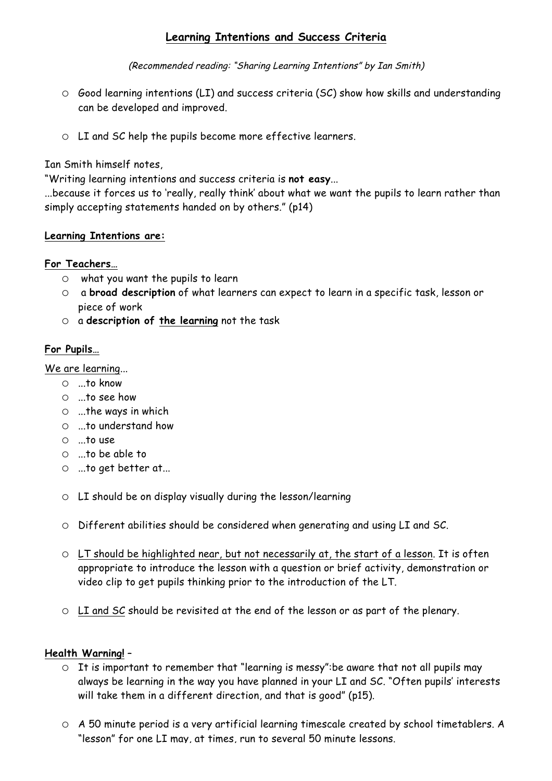# **Learning Intentions and Success Criteria**

(Recommended reading: "Sharing Learning Intentions" by Ian Smith)

- o Good learning intentions (LI) and success criteria (SC) show how skills and understanding can be developed and improved.
- o LI and SC help the pupils become more effective learners.

Ian Smith himself notes,

"Writing learning intentions and success criteria is **not easy**...

...because it forces us to 'really, really think' about what we want the pupils to learn rather than simply accepting statements handed on by others." (p14)

## **Learning Intentions are:**

## **For Teachers…**

- o what you want the pupils to learn
- o a **broad description** of what learners can expect to learn in a specific task, lesson or piece of work
- o a **description of the learning** not the task

## **For Pupils…**

We are learning...

- o ...to know
- o ...to see how
- $\circ$  ...the ways in which
- o ...to understand how
- o ...to use
- o ...to be able to
- o ...to get better at...
- o LI should be on display visually during the lesson/learning
- o Different abilities should be considered when generating and using LI and SC.
- o LT should be highlighted near, but not necessarily at, the start of a lesson. It is often appropriate to introduce the lesson with a question or brief activity, demonstration or video clip to get pupils thinking prior to the introduction of the LT.
- o LI and SC should be revisited at the end of the lesson or as part of the plenary.

### **Health Warning!** –

- o It is important to remember that "learning is messy":be aware that not all pupils may always be learning in the way you have planned in your LI and SC. "Often pupils' interests will take them in a different direction, and that is good" (p15).
- o A 50 minute period is a very artificial learning timescale created by school timetablers. A "lesson" for one LI may, at times, run to several 50 minute lessons.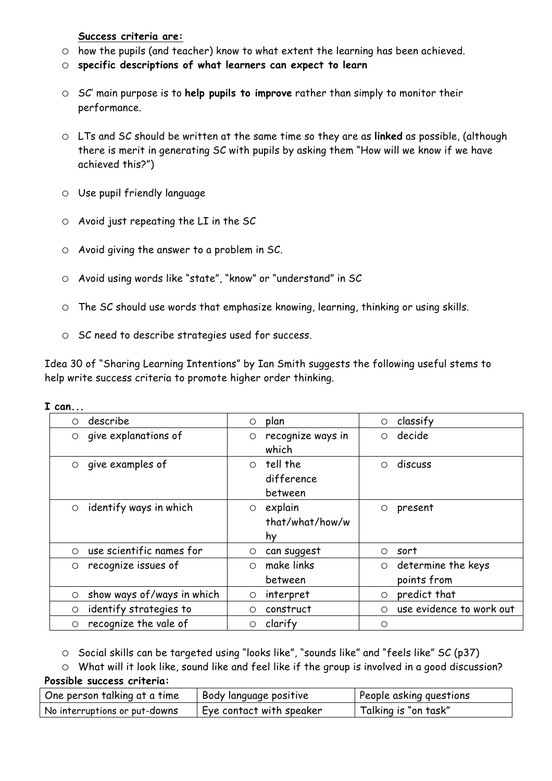**Success criteria are:**

- o how the pupils (and teacher) know to what extent the learning has been achieved.
- o **specific descriptions of what learners can expect to learn**
- o SC' main purpose is to **help pupils to improve** rather than simply to monitor their performance.
- o LTs and SC should be written at the same time so they are as **linked** as possible, (although there is merit in generating SC with pupils by asking them "How will we know if we have achieved this?")
- o Use pupil friendly language
- $\circ$  Avoid just repeating the LI in the SC
- o Avoid giving the answer to a problem in SC.
- o Avoid using words like "state", "know" or "understand" in SC
- o The SC should use words that emphasize knowing, learning, thinking or using skills.
- o SC need to describe strategies used for success.

Idea 30 of "Sharing Learning Intentions" by Ian Smith suggests the following useful stems to help write success criteria to promote higher order thinking.

| describe                         | plan               | classify                 |
|----------------------------------|--------------------|--------------------------|
| $\circ$                          | $\circ$            | $\circ$                  |
| give explanations of             | recognize ways in  | decide                   |
| $\circ$                          | O                  | $\circ$                  |
|                                  | which              |                          |
| give examples of                 | tell the           | discuss                  |
| $\circ$                          | $\circ$            | $\bigcirc$               |
|                                  | difference         |                          |
|                                  | between            |                          |
| identify ways in which           | explain            | present                  |
| $\circ$                          | $\circ$            | $\circ$                  |
|                                  | that/what/how/w    |                          |
|                                  | hy                 |                          |
| use scientific names for         | can suggest        | sort                     |
| $\circ$                          | O                  | $\circ$                  |
| recognize issues of              | make links         | determine the keys       |
| $\circ$                          | $\circ$            | $\circ$                  |
|                                  | between            | points from              |
| show ways of/ways in which       | interpret          | predict that             |
| $\circ$                          | O                  | $\circ$                  |
| identify strategies to           | construct          | use evidence to work out |
| $\circ$                          | ◯                  | $\bigcirc$               |
| recognize the vale of<br>$\circ$ | clarify<br>$\circ$ | $\circ$                  |

**I can...**

o Social skills can be targeted using "looks like", "sounds like" and "feels like" SC (p37)

o What will it look like, sound like and feel like if the group is involved in a good discussion? **Possible success criteria:**

| One person talking at a time  | Body language positive   | People asking questions |
|-------------------------------|--------------------------|-------------------------|
| No interruptions or put-downs | Eye contact with speaker | Talking is "on task"    |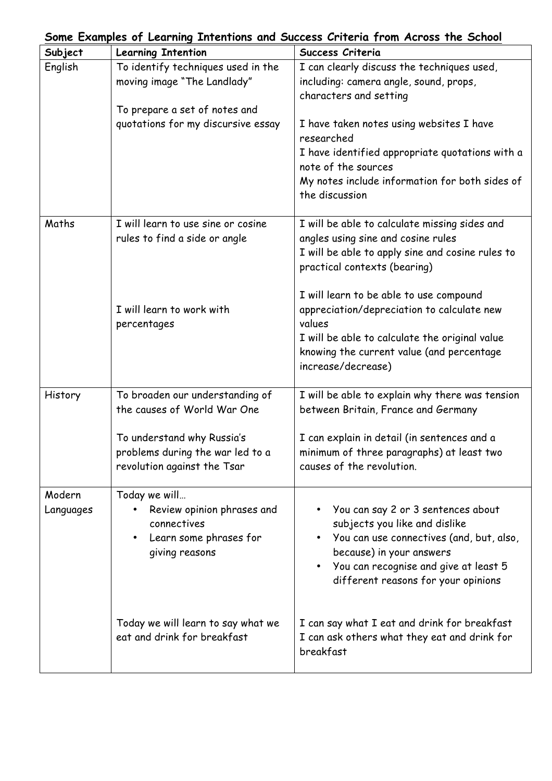| Some Examples of Learning Intentions and Success Criteria from Across the School |                                                                                                                                          |                                                                                                                                                                                                                                                       |  |  |
|----------------------------------------------------------------------------------|------------------------------------------------------------------------------------------------------------------------------------------|-------------------------------------------------------------------------------------------------------------------------------------------------------------------------------------------------------------------------------------------------------|--|--|
| Subject                                                                          | <b>Learning Intention</b>                                                                                                                | Success Criteria                                                                                                                                                                                                                                      |  |  |
| English                                                                          | To identify techniques used in the<br>moving image "The Landlady"<br>To prepare a set of notes and<br>quotations for my discursive essay | I can clearly discuss the techniques used,<br>including: camera angle, sound, props,<br>characters and setting<br>I have taken notes using websites I have                                                                                            |  |  |
|                                                                                  |                                                                                                                                          | researched<br>I have identified appropriate quotations with a<br>note of the sources<br>My notes include information for both sides of<br>the discussion                                                                                              |  |  |
| Maths                                                                            | I will learn to use sine or cosine<br>rules to find a side or angle                                                                      | I will be able to calculate missing sides and<br>angles using sine and cosine rules<br>I will be able to apply sine and cosine rules to<br>practical contexts (bearing)                                                                               |  |  |
|                                                                                  | I will learn to work with<br>percentages                                                                                                 | I will learn to be able to use compound<br>appreciation/depreciation to calculate new<br>values<br>I will be able to calculate the original value<br>knowing the current value (and percentage<br>increase/decrease)                                  |  |  |
| History                                                                          | To broaden our understanding of<br>the causes of World War One                                                                           | I will be able to explain why there was tension<br>between Britain, France and Germany                                                                                                                                                                |  |  |
|                                                                                  | To understand why Russia's<br>problems during the war led to a<br>revolution against the Tsar                                            | I can explain in detail (in sentences and a<br>minimum of three paragraphs) at least two<br>causes of the revolution.                                                                                                                                 |  |  |
| Modern<br>Languages                                                              | Today we will<br>Review opinion phrases and<br>connectives<br>Learn some phrases for<br>$\bullet$<br>giving reasons                      | You can say 2 or 3 sentences about<br>subjects you like and dislike<br>You can use connectives (and, but, also,<br>$\bullet$<br>because) in your answers<br>You can recognise and give at least 5<br>$\bullet$<br>different reasons for your opinions |  |  |
|                                                                                  | Today we will learn to say what we<br>eat and drink for breakfast                                                                        | I can say what I eat and drink for breakfast<br>I can ask others what they eat and drink for<br>breakfast                                                                                                                                             |  |  |